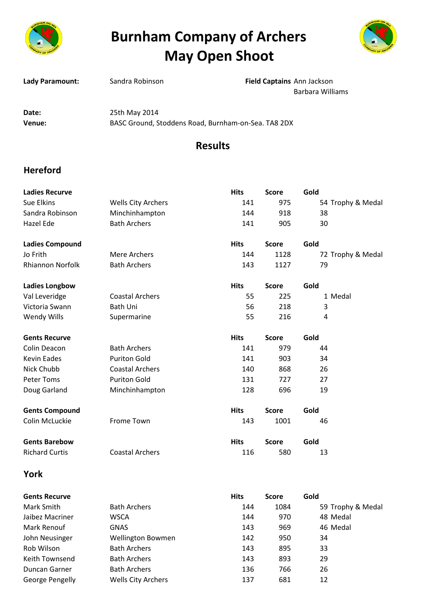

## **Burnham Company of Archers May Open Shoot**



| Lady Paramount: | Sandra Robinson                                     | Field Captains Ann Jackson |  |
|-----------------|-----------------------------------------------------|----------------------------|--|
|                 |                                                     | Barbara Williams           |  |
| Date:           | 25th May 2014                                       |                            |  |
| Venue:          | BASC Ground, Stoddens Road, Burnham-on-Sea. TA8 2DX |                            |  |
|                 |                                                     | <b>Results</b>             |  |

## **Hereford**

| <b>Ladies Recurve</b>   |                           | <b>Hits</b> | <b>Score</b> | Gold              |
|-------------------------|---------------------------|-------------|--------------|-------------------|
| Sue Elkins              | <b>Wells City Archers</b> | 141         | 975          | 54 Trophy & Medal |
| Sandra Robinson         | Minchinhampton            | 144         | 918          | 38                |
| Hazel Ede               | <b>Bath Archers</b>       | 141         | 905          | 30                |
| <b>Ladies Compound</b>  |                           | <b>Hits</b> | <b>Score</b> | Gold              |
| Jo Frith                | Mere Archers              | 144         | 1128         | 72 Trophy & Medal |
| <b>Rhiannon Norfolk</b> | <b>Bath Archers</b>       | 143         | 1127         | 79                |
| <b>Ladies Longbow</b>   |                           | <b>Hits</b> | <b>Score</b> | Gold              |
| Val Leveridge           | <b>Coastal Archers</b>    | 55          | 225          | 1 Medal           |
| Victoria Swann          | <b>Bath Uni</b>           | 56          | 218          | 3                 |
| Wendy Wills             | Supermarine               | 55          | 216          | 4                 |
| <b>Gents Recurve</b>    |                           | <b>Hits</b> | <b>Score</b> | Gold              |
| Colin Deacon            | <b>Bath Archers</b>       | 141         | 979          | 44                |
| <b>Kevin Eades</b>      | <b>Puriton Gold</b>       | 141         | 903          | 34                |
| Nick Chubb              | <b>Coastal Archers</b>    | 140         | 868          | 26                |
| <b>Peter Toms</b>       | <b>Puriton Gold</b>       | 131         | 727          | 27                |
| Doug Garland            | Minchinhampton            | 128         | 696          | 19                |
| <b>Gents Compound</b>   |                           | <b>Hits</b> | <b>Score</b> | Gold              |
| Colin McLuckie          | Frome Town                | 143         | 1001         | 46                |
| <b>Gents Barebow</b>    |                           | <b>Hits</b> | <b>Score</b> | Gold              |
| <b>Richard Curtis</b>   | <b>Coastal Archers</b>    | 116         | 580          | 13                |
|                         |                           |             |              |                   |

## **York**

| <b>Gents Recurve</b> |                           | <b>Hits</b> | <b>Score</b> | Gold              |
|----------------------|---------------------------|-------------|--------------|-------------------|
| Mark Smith           | <b>Bath Archers</b>       | 144         | 1084         | 59 Trophy & Medal |
| Jaibez Macriner      | <b>WSCA</b>               | 144         | 970          | 48 Medal          |
| Mark Renouf          | <b>GNAS</b>               | 143         | 969          | 46 Medal          |
| John Neusinger       | <b>Wellington Bowmen</b>  | 142         | 950          | 34                |
| Rob Wilson           | <b>Bath Archers</b>       | 143         | 895          | 33                |
| Keith Townsend       | <b>Bath Archers</b>       | 143         | 893          | 29                |
| Duncan Garner        | <b>Bath Archers</b>       | 136         | 766          | 26                |
| George Pengelly      | <b>Wells City Archers</b> | 137         | 681          | 12                |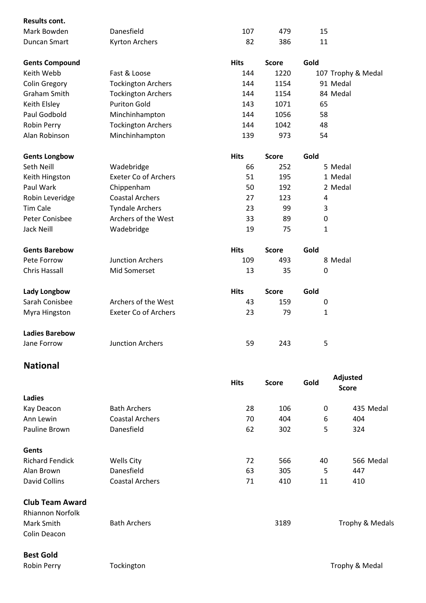| Results cont.         |                             |             |              |                    |
|-----------------------|-----------------------------|-------------|--------------|--------------------|
| Mark Bowden           | Danesfield                  | 107         | 479          | 15                 |
| <b>Duncan Smart</b>   | Kyrton Archers              | 82          | 386          | 11                 |
| <b>Gents Compound</b> |                             | <b>Hits</b> | <b>Score</b> | Gold               |
| Keith Webb            | Fast & Loose                | 144         | 1220         | 107 Trophy & Medal |
| <b>Colin Gregory</b>  | <b>Tockington Archers</b>   | 144         | 1154         | 91 Medal           |
| <b>Graham Smith</b>   | <b>Tockington Archers</b>   | 144         | 1154         | 84 Medal           |
| Keith Elsley          | <b>Puriton Gold</b>         | 143         | 1071         | 65                 |
| Paul Godbold          | Minchinhampton              | 144         | 1056         | 58                 |
| Robin Perry           | <b>Tockington Archers</b>   | 144         | 1042         | 48                 |
| Alan Robinson         | Minchinhampton              | 139         | 973          | 54                 |
| <b>Gents Longbow</b>  |                             | <b>Hits</b> | <b>Score</b> | Gold               |
| Seth Neill            | Wadebridge                  | 66          | 252          | 5 Medal            |
| Keith Hingston        | <b>Exeter Co of Archers</b> | 51          | 195          | 1 Medal            |
| Paul Wark             | Chippenham                  | 50          | 192          | 2 Medal            |
| Robin Leveridge       | <b>Coastal Archers</b>      | 27          | 123          | 4                  |
| <b>Tim Cale</b>       | <b>Tyndale Archers</b>      | 23          | 99           | 3                  |
| Peter Conisbee        | Archers of the West         | 33          | 89           | $\mathbf 0$        |
| Jack Neill            | Wadebridge                  | 19          | 75           | $\mathbf{1}$       |
| <b>Gents Barebow</b>  |                             | <b>Hits</b> | <b>Score</b> | Gold               |
| Pete Forrow           | <b>Junction Archers</b>     | 109         | 493          | 8 Medal            |
| <b>Chris Hassall</b>  | Mid Somerset                | 13          | 35           | 0                  |
| Lady Longbow          |                             | <b>Hits</b> | <b>Score</b> | Gold               |
| Sarah Conisbee        | Archers of the West         | 43          | 159          | $\pmb{0}$          |
| Myra Hingston         | <b>Exeter Co of Archers</b> | 23          | 79           | $\mathbf{1}$       |
| <b>Ladies Barebow</b> |                             |             |              |                    |
| Jane Forrow           | <b>Junction Archers</b>     | 59          | 243          | 5                  |
| <b>National</b>       |                             |             |              |                    |

|                                                   |                        | <b>Hits</b> | <b>Score</b> | Gold | Adjusted<br><b>Score</b> |
|---------------------------------------------------|------------------------|-------------|--------------|------|--------------------------|
| Ladies                                            |                        |             |              |      |                          |
| Kay Deacon                                        | <b>Bath Archers</b>    | 28          | 106          | 0    | 435 Medal                |
| Ann Lewin                                         | <b>Coastal Archers</b> | 70          | 404          | 6    | 404                      |
| Pauline Brown                                     | Danesfield             | 62          | 302          | 5    | 324                      |
| Gents                                             |                        |             |              |      |                          |
| <b>Richard Fendick</b>                            | Wells City             | 72          | 566          | 40   | 566 Medal                |
| Alan Brown                                        | Danesfield             | 63          | 305          | 5    | 447                      |
| David Collins                                     | <b>Coastal Archers</b> | 71          | 410          | 11   | 410                      |
| <b>Club Team Award</b><br><b>Rhiannon Norfolk</b> |                        |             |              |      |                          |
| Mark Smith<br>Colin Deacon                        | <b>Bath Archers</b>    |             | 3189         |      | Trophy & Medals          |

**Best Gold**

Robin Perry **Tockington** Tockington Trophy & Medal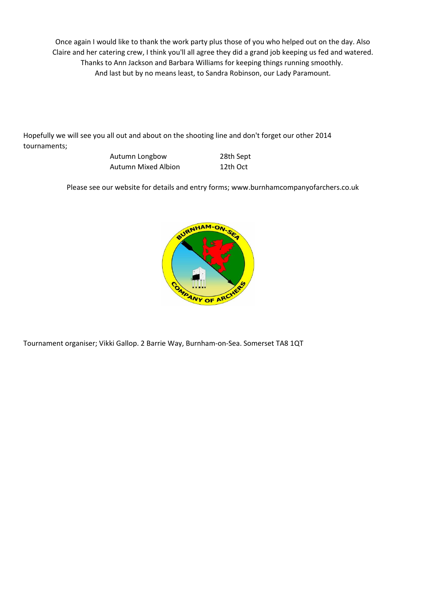Thanks to Ann Jackson and Barbara Williams for keeping things running smoothly. And last but by no means least, to Sandra Robinson, our Lady Paramount. Once again I would like to thank the work party plus those of you who helped out on the day. Also Claire and her catering crew, I think you'll all agree they did a grand job keeping us fed and watered.

Hopefully we will see you all out and about on the shooting line and don't forget our other 2014 tournaments;

| Autumn Longbow      | 28th Sept |
|---------------------|-----------|
| Autumn Mixed Albion | 12th Oct  |

Please see our website for details and entry forms; www.burnhamcompanyofarchers.co.uk



Tournament organiser; Vikki Gallop. 2 Barrie Way, Burnham-on-Sea. Somerset TA8 1QT